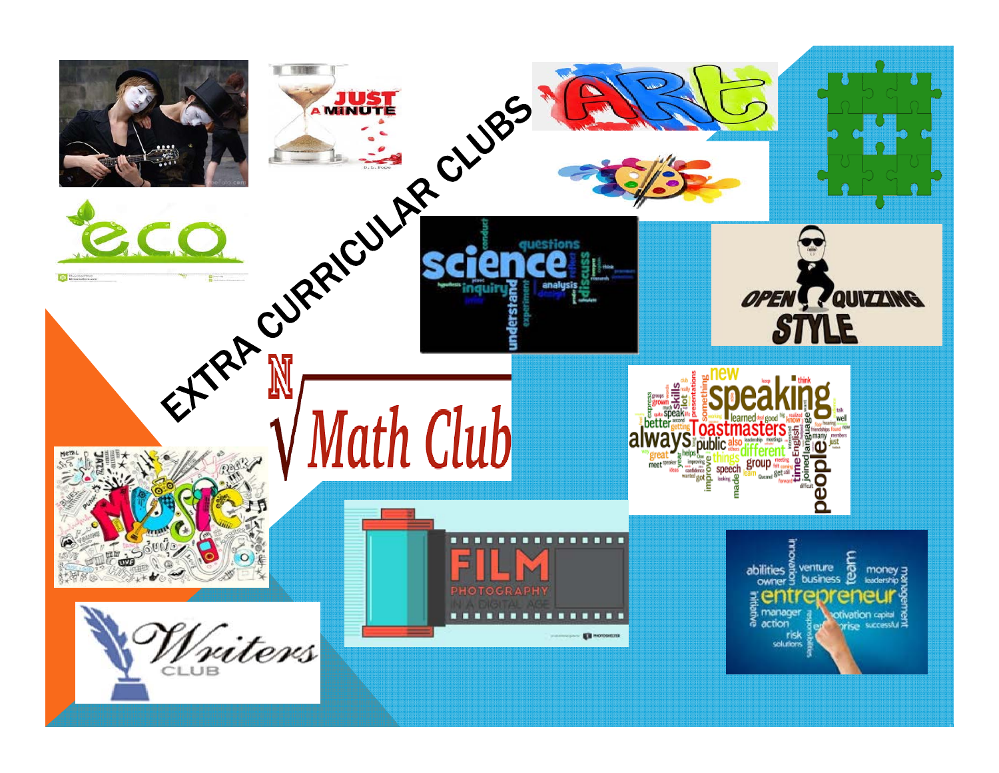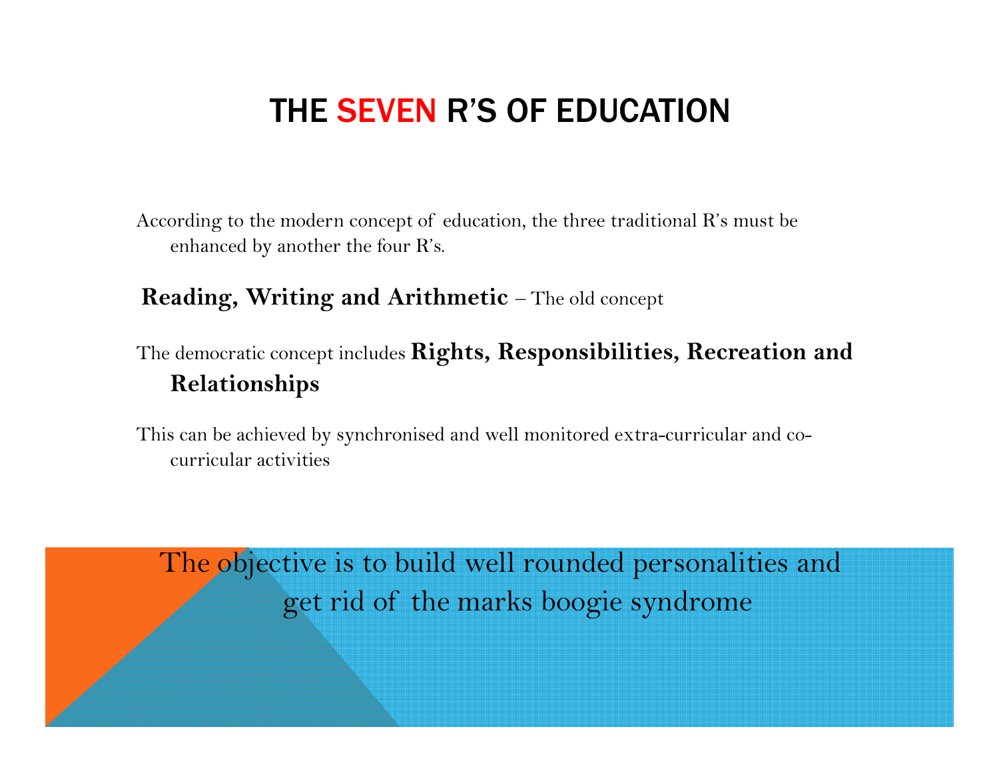## THE SEVEN R'S OF EDUCATION

According to the modern concept of education, the three traditional R's must be enhanced by another the four R's.

## **Reading, Writing and Arithmetic** – The old concept

The democratic concept includes **Rights, Responsibilities, Recreation and Relationships**

This can be achieved by synchronised and well monitored extra-curricular and cocurricular activities

The objective is to build well rounded personalities and get rid of the marks boogie syndrome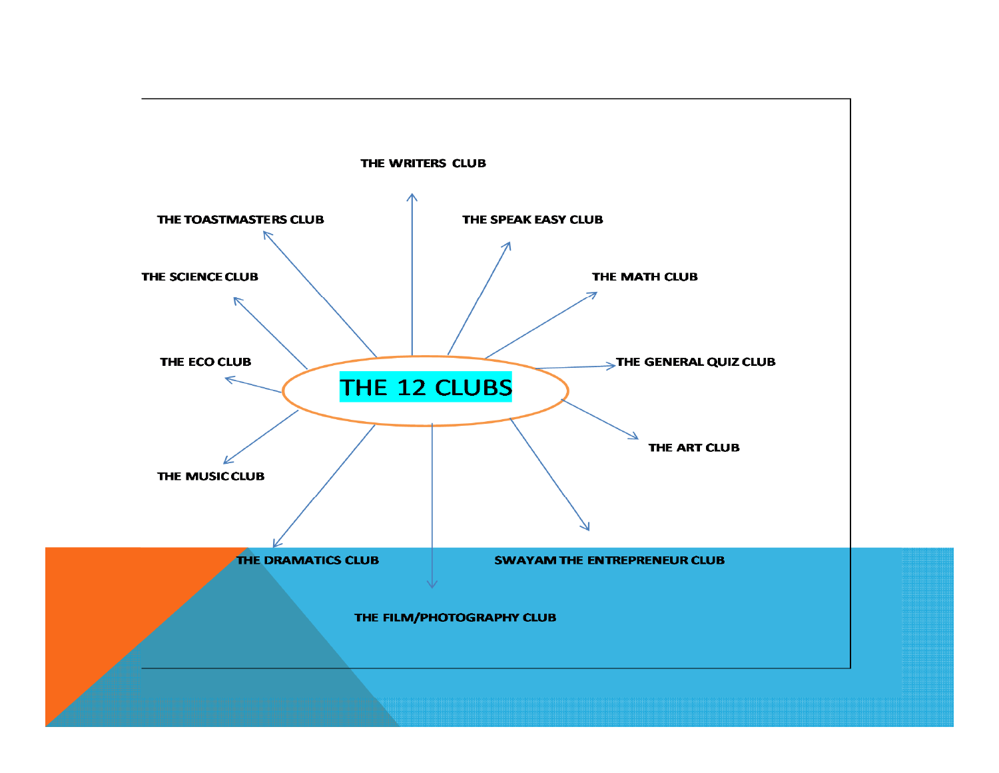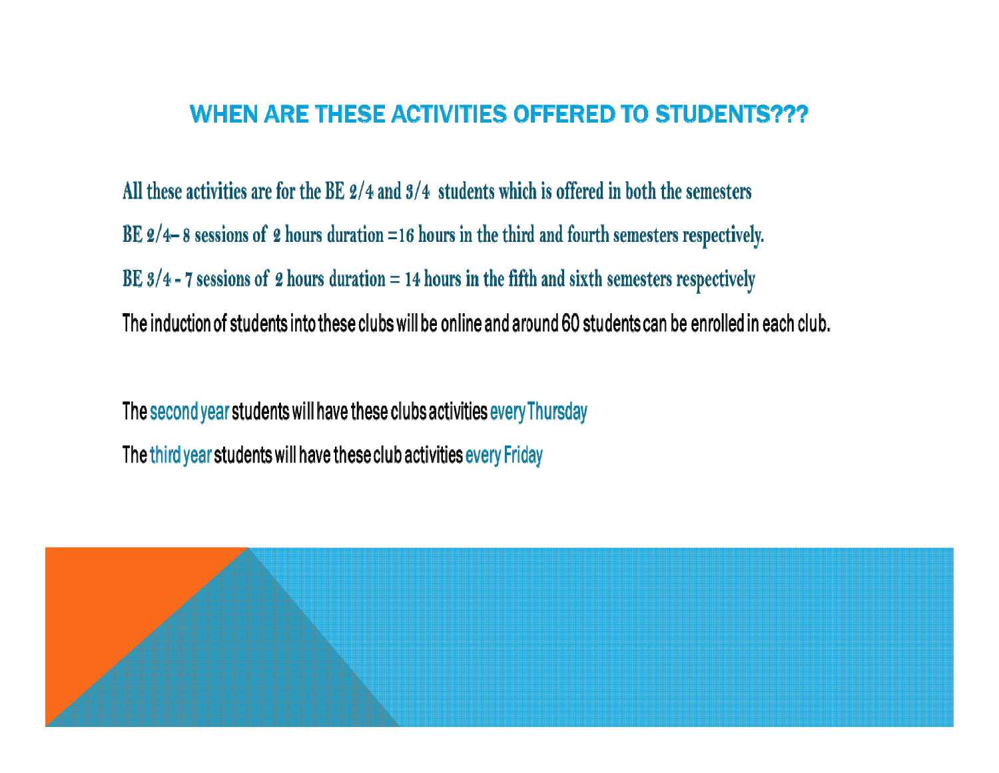## **WHEN ARE THESE ACTIVITIES OFFERED TO STUDENTS???**

All these activities are for the BE  $\frac{2}{4}$  and  $\frac{3}{4}$  students which is offered in both the semesters BE  $2/4-8$  sessions of 2 hours duration =16 hours in the third and fourth semesters respectively. BE  $3/4$  - 7 sessions of 2 hours duration = 14 hours in the fifth and sixth semesters respectively The induction of students into these clubs will be online and around 60 students can be enrolled in each club.

The second year students will have these clubs activities every Thursday The third year students will have these club activities every Friday

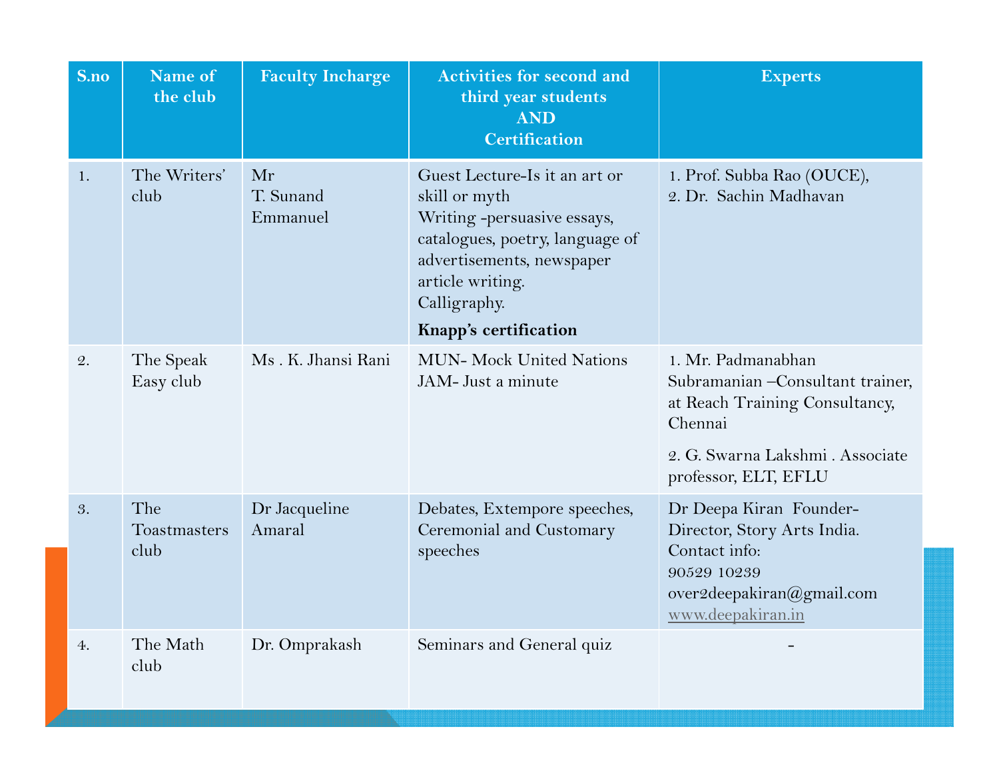| S.no | Name of<br>the club         | <b>Faculty Incharge</b>     | <b>Activities for second and</b><br>third year students<br><b>AND</b><br><b>Certification</b>                                                                                                              | <b>Experts</b>                                                                                                                                                   |
|------|-----------------------------|-----------------------------|------------------------------------------------------------------------------------------------------------------------------------------------------------------------------------------------------------|------------------------------------------------------------------------------------------------------------------------------------------------------------------|
| 1.   | The Writers'<br>club        | Mr<br>T. Sunand<br>Emmanuel | Guest Lecture-Is it an art or<br>skill or myth<br>Writing -persuasive essays,<br>catalogues, poetry, language of<br>advertisements, newspaper<br>article writing.<br>Calligraphy.<br>Knapp's certification | 1. Prof. Subba Rao (OUCE),<br>2. Dr. Sachin Madhavan                                                                                                             |
| 2.   | The Speak<br>Easy club      | Ms. K. Jhansi Rani          | <b>MUN- Mock United Nations</b><br>JAM-Just a minute                                                                                                                                                       | 1. Mr. Padmanabhan<br>Subramanian - Consultant trainer,<br>at Reach Training Consultancy,<br>Chennai<br>2. G. Swarna Lakshmi . Associate                         |
| 3.   | The<br>Toastmasters<br>club | Dr Jacqueline<br>Amaral     | Debates, Extempore speeches,<br>Ceremonial and Customary<br>speeches                                                                                                                                       | professor, ELT, EFLU<br>Dr Deepa Kiran Founder-<br>Director, Story Arts India.<br>Contact info:<br>90529 10239<br>over2deepakiran@gmail.com<br>www.deepakiran.in |
| 4.   | The Math<br>club            | Dr. Omprakash               | Seminars and General quiz                                                                                                                                                                                  |                                                                                                                                                                  |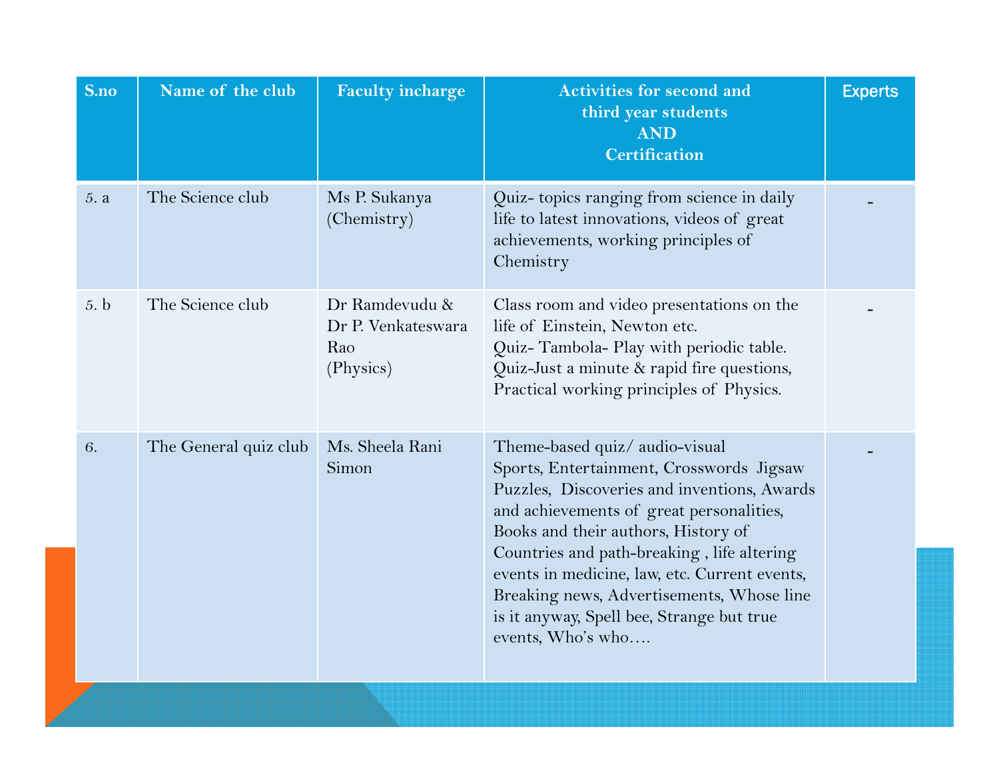| S.no | Name of the club      | <b>Faculty incharge</b>                                  | <b>Activities for second and</b><br>third year students<br><b>AND</b><br><b>Certification</b>                                                                                                                                                                                                                                                                                                                              | <b>Experts</b> |
|------|-----------------------|----------------------------------------------------------|----------------------------------------------------------------------------------------------------------------------------------------------------------------------------------------------------------------------------------------------------------------------------------------------------------------------------------------------------------------------------------------------------------------------------|----------------|
| 5. a | The Science club      | Ms P. Sukanya<br>(Chemistry)                             | Quiz- topics ranging from science in daily<br>life to latest innovations, videos of great<br>achievements, working principles of<br>Chemistry                                                                                                                                                                                                                                                                              |                |
| 5. b | The Science club      | Dr Ramdevudu &<br>Dr P. Venkateswara<br>Rao<br>(Physics) | Class room and video presentations on the<br>life of Einstein, Newton etc.<br>Quiz-Tambola- Play with periodic table.<br>Quiz-Just a minute & rapid fire questions,<br>Practical working principles of Physics.                                                                                                                                                                                                            |                |
| 6.   | The General quiz club | Ms. Sheela Rani<br>Simon                                 | Theme-based quiz/ audio-visual<br>Sports, Entertainment, Crosswords Jigsaw<br>Puzzles, Discoveries and inventions, Awards<br>and achievements of great personalities,<br>Books and their authors, History of<br>Countries and path-breaking, life altering<br>events in medicine, law, etc. Current events,<br>Breaking news, Advertisements, Whose line<br>is it anyway, Spell bee, Strange but true<br>events, Who's who |                |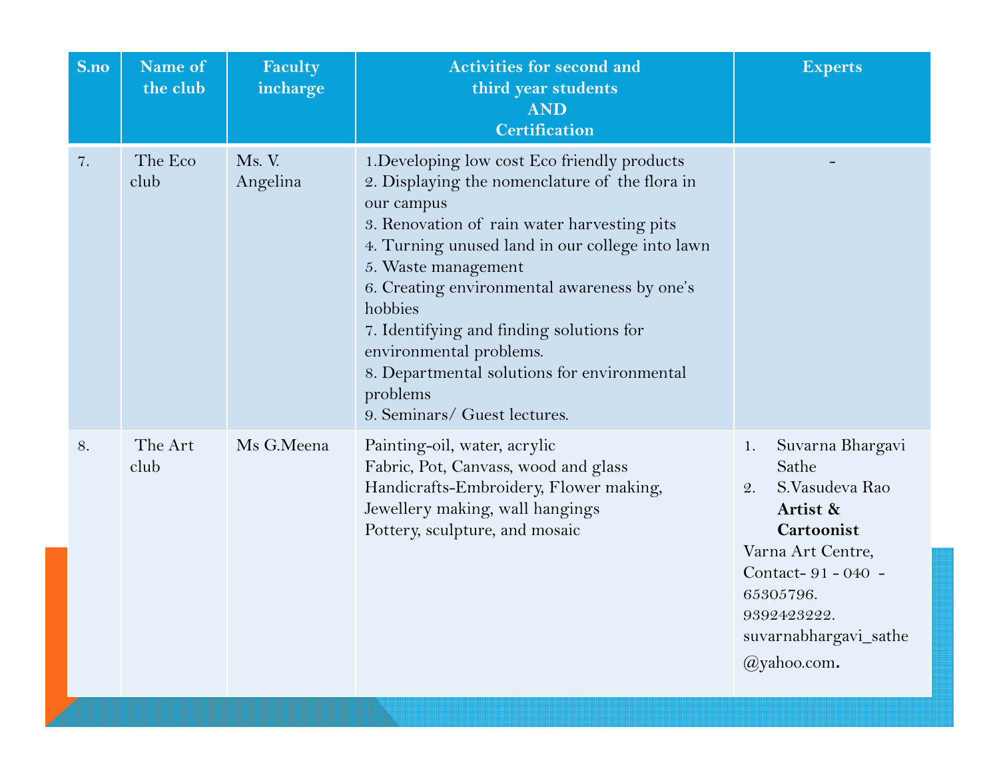| S.no | Name of<br>the club | Faculty<br>incharge | <b>Activities for second and</b><br>third year students<br><b>AND</b><br><b>Certification</b>                                                                                                                                                                                                                                                                                                                                                                      | <b>Experts</b>                                                                                                                                                                                 |
|------|---------------------|---------------------|--------------------------------------------------------------------------------------------------------------------------------------------------------------------------------------------------------------------------------------------------------------------------------------------------------------------------------------------------------------------------------------------------------------------------------------------------------------------|------------------------------------------------------------------------------------------------------------------------------------------------------------------------------------------------|
| 7.   | The Eco<br>club     | Ms. V.<br>Angelina  | 1. Developing low cost Eco friendly products<br>2. Displaying the nomenclature of the flora in<br>our campus<br>3. Renovation of rain water harvesting pits<br>4. Turning unused land in our college into lawn<br>5. Waste management<br>6. Creating environmental awareness by one's<br>hobbies<br>7. Identifying and finding solutions for<br>environmental problems.<br>8. Departmental solutions for environmental<br>problems<br>9. Seminars/ Guest lectures. |                                                                                                                                                                                                |
| 8.   | The Art<br>club     | Ms G.Meena          | Painting-oil, water, acrylic<br>Fabric, Pot, Canvass, wood and glass<br>Handicrafts-Embroidery, Flower making,<br>Jewellery making, wall hangings<br>Pottery, sculpture, and mosaic                                                                                                                                                                                                                                                                                | Suvarna Bhargavi<br>1.<br>Sathe<br>S.Vasudeva Rao<br>2.<br>Artist &<br>Cartoonist<br>Varna Art Centre,<br>Contact-91-040 -<br>65305796.<br>9392423222.<br>suvarnabhargavi_sathe<br>@yahoo.com. |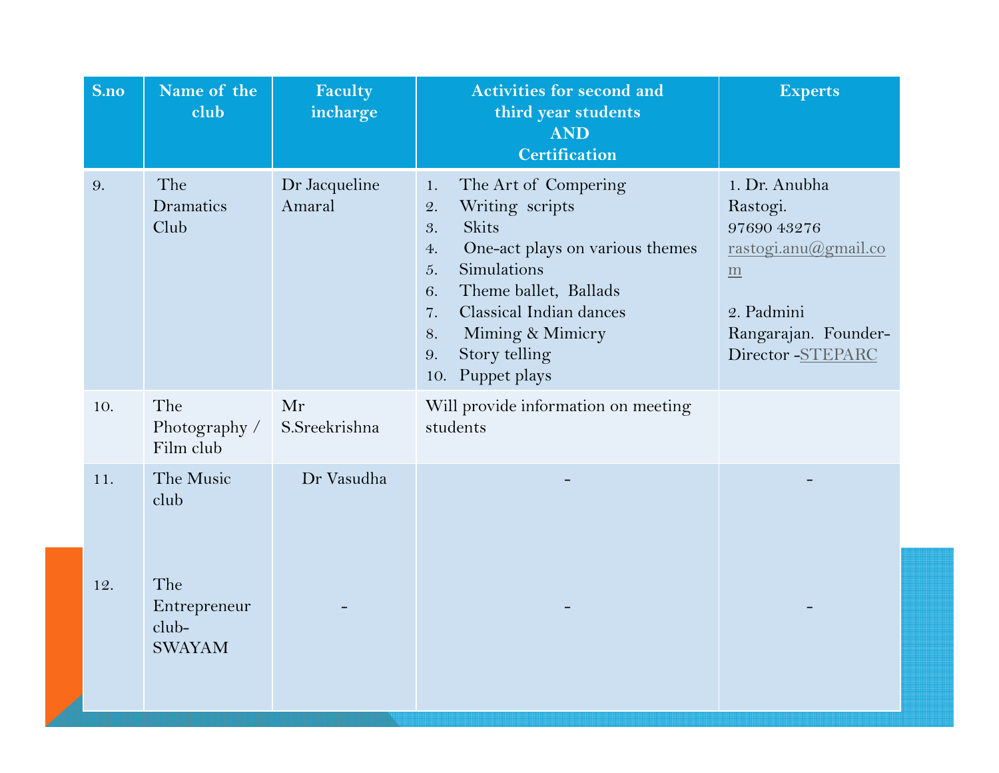| S.no       | Name of the<br>club                                                | Faculty<br>incharge     | <b>Activities for second and</b><br>third year students<br><b>AND</b><br><b>Certification</b>                                                                                                                                                                                | <b>Experts</b>                                                                                                                                |
|------------|--------------------------------------------------------------------|-------------------------|------------------------------------------------------------------------------------------------------------------------------------------------------------------------------------------------------------------------------------------------------------------------------|-----------------------------------------------------------------------------------------------------------------------------------------------|
| 9.         | The<br>Dramatics<br>Club                                           | Dr Jacqueline<br>Amaral | The Art of Compering<br>1.<br>Writing scripts<br>2.<br><b>Skits</b><br>3.<br>One-act plays on various themes<br>4.<br>Simulations<br>5.<br>Theme ballet, Ballads<br>6.<br>Classical Indian dances<br>7.<br>Miming & Mimicry<br>8.<br>Story telling<br>9.<br>10. Puppet plays | 1. Dr. Anubha<br>Rastogi.<br>97690 43276<br>rastogi.anu@gmail.co<br>$\underline{m}$<br>2. Padmini<br>Rangarajan. Founder-<br>Director-STEPARC |
| 10.        | The<br>Photography /<br>Film club                                  | Mr<br>S.Sreekrishna     | Will provide information on meeting<br>students                                                                                                                                                                                                                              |                                                                                                                                               |
| 11.<br>12. | The Music<br>club<br>The<br>Entrepreneur<br>club-<br><b>SWAYAM</b> | Dr Vasudha              |                                                                                                                                                                                                                                                                              |                                                                                                                                               |